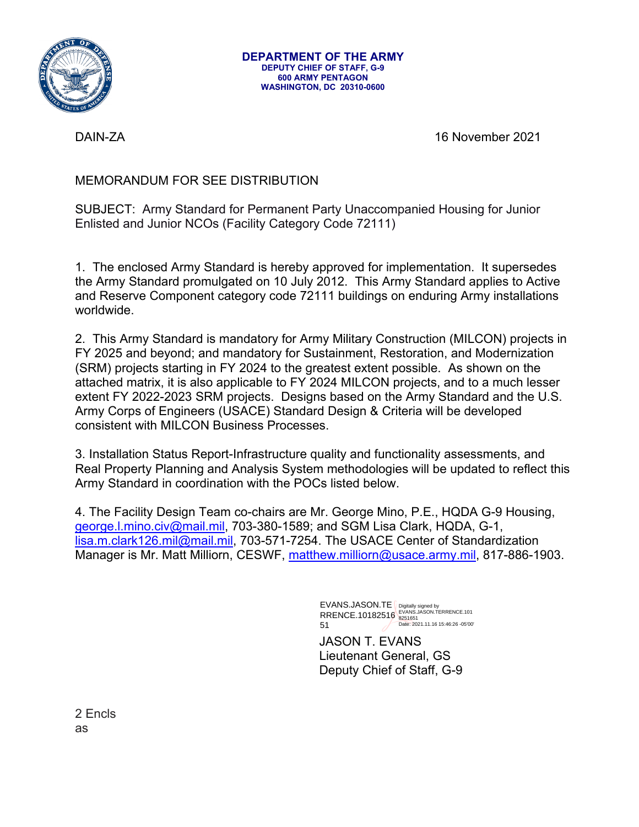

**DEPARTMENT OF THE ARMY DEPUTY CHIEF OF STAFF, G-9 600 ARMY PENTAGON WASHINGTON, DC 20310-0600** 

DAIN-ZA 16 November 2021

## MEMORANDUM FOR SEE DISTRIBUTION

SUBJECT: Army Standard for Permanent Party Unaccompanied Housing for Junior Enlisted and Junior NCOs (Facility Category Code 72111)

1. The enclosed Army Standard is hereby approved for implementation. It supersedes the Army Standard promulgated on 10 July 2012. This Army Standard applies to Active and Reserve Component category code 72111 buildings on enduring Army installations worldwide.

2. This Army Standard is mandatory for Army Military Construction (MILCON) projects in FY 2025 and beyond; and mandatory for Sustainment, Restoration, and Modernization (SRM) projects starting in FY 2024 to the greatest extent possible. As shown on the attached matrix, it is also applicable to FY 2024 MILCON projects, and to a much lesser extent FY 2022-2023 SRM projects. Designs based on the Army Standard and the U.S. Army Corps of Engineers (USACE) Standard Design & Criteria will be developed consistent with MILCON Business Processes.

3. Installation Status Report-Infrastructure quality and functionality assessments, and Real Property Planning and Analysis System methodologies will be updated to reflect this Army Standard in coordination with the POCs listed below.

4. The Facility Design Team co-chairs are Mr. George Mino, P.E., HQDA G-9 Housing, george.l.mino.civ@mail.mil, 703-380-1589; and SGM Lisa Clark, HQDA, G-1, lisa.m.clark126.mil@mail.mil, 703-571-7254. The USACE Center of Standardization Manager is Mr. Matt Milliorn, CESWF, matthew.milliorn@usace.army.mil, 817-886-1903.

> EVANS.JASON.TE RRENCE.10182516 51 Digitally signed by EVANS.JASON.TERRENCE.101 8251651 Date: 2021.11.16 15:46:26 -05'00'

JASON T. EVANS Lieutenant General, GS Deputy Chief of Staff, G-9

2 Encls as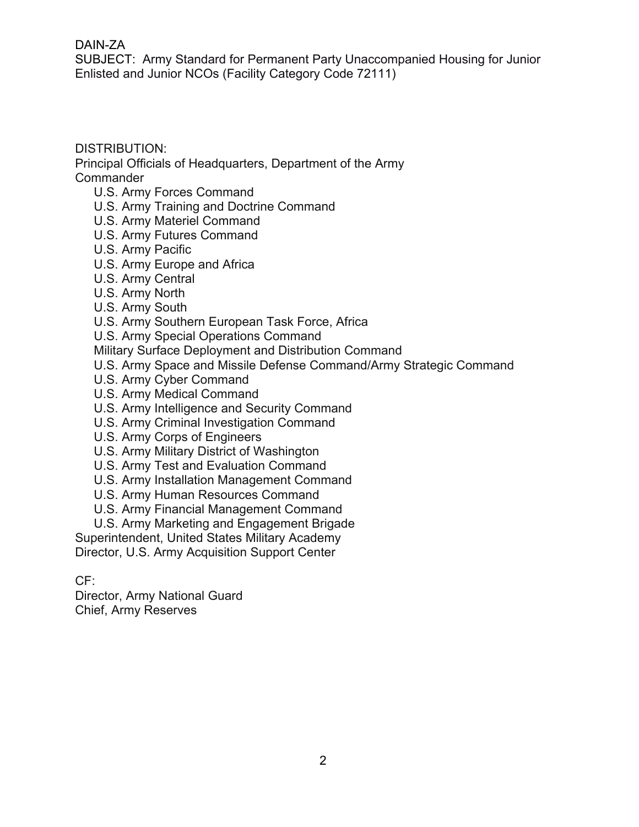## DAIN-ZA

SUBJECT: Army Standard for Permanent Party Unaccompanied Housing for Junior Enlisted and Junior NCOs (Facility Category Code 72111)

## DISTRIBUTION:

Principal Officials of Headquarters, Department of the Army Commander

- U.S. Army Forces Command
- U.S. Army Training and Doctrine Command
- U.S. Army Materiel Command
- U.S. Army Futures Command
- U.S. Army Pacific
- U.S. Army Europe and Africa
- U.S. Army Central
- U.S. Army North
- U.S. Army South
- U.S. Army Southern European Task Force, Africa

U.S. Army Special Operations Command

Military Surface Deployment and Distribution Command

- U.S. Army Space and Missile Defense Command/Army Strategic Command
- U.S. Army Cyber Command
- U.S. Army Medical Command
- U.S. Army Intelligence and Security Command
- U.S. Army Criminal Investigation Command
- U.S. Army Corps of Engineers
- U.S. Army Military District of Washington
- U.S. Army Test and Evaluation Command
- U.S. Army Installation Management Command
- U.S. Army Human Resources Command
- U.S. Army Financial Management Command
- U.S. Army Marketing and Engagement Brigade

Superintendent, United States Military Academy Director, U.S. Army Acquisition Support Center

CF:

Director, Army National Guard Chief, Army Reserves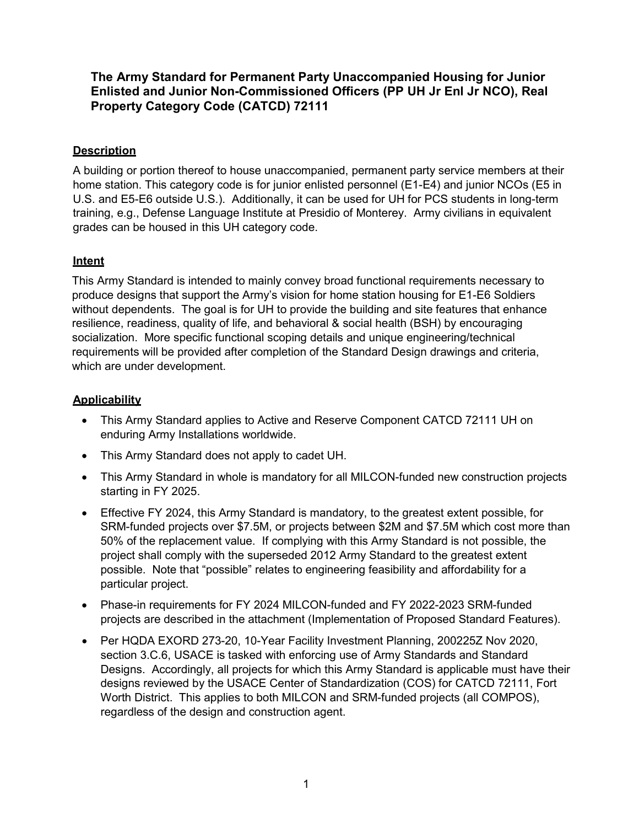**The Army Standard for Permanent Party Unaccompanied Housing for Junior Enlisted and Junior Non-Commissioned Officers (PP UH Jr Enl Jr NCO), Real Property Category Code (CATCD) 72111** 

### **Description**

A building or portion thereof to house unaccompanied, permanent party service members at their home station. This category code is for junior enlisted personnel (E1-E4) and junior NCOs (E5 in U.S. and E5-E6 outside U.S.). Additionally, it can be used for UH for PCS students in long-term training, e.g., Defense Language Institute at Presidio of Monterey. Army civilians in equivalent grades can be housed in this UH category code.

## **Intent**

This Army Standard is intended to mainly convey broad functional requirements necessary to produce designs that support the Army's vision for home station housing for E1-E6 Soldiers without dependents. The goal is for UH to provide the building and site features that enhance resilience, readiness, quality of life, and behavioral & social health (BSH) by encouraging socialization. More specific functional scoping details and unique engineering/technical requirements will be provided after completion of the Standard Design drawings and criteria, which are under development.

## **Applicability**

- This Army Standard applies to Active and Reserve Component CATCD 72111 UH on enduring Army Installations worldwide.
- This Army Standard does not apply to cadet UH.
- This Army Standard in whole is mandatory for all MILCON-funded new construction projects starting in FY 2025.
- Effective FY 2024, this Army Standard is mandatory, to the greatest extent possible, for SRM-funded projects over \$7.5M, or projects between \$2M and \$7.5M which cost more than 50% of the replacement value. If complying with this Army Standard is not possible, the project shall comply with the superseded 2012 Army Standard to the greatest extent possible. Note that "possible" relates to engineering feasibility and affordability for a particular project.
- Phase-in requirements for FY 2024 MILCON-funded and FY 2022-2023 SRM-funded projects are described in the attachment (Implementation of Proposed Standard Features).
- Per HQDA EXORD 273-20, 10-Year Facility Investment Planning, 200225Z Nov 2020, section 3.C.6, USACE is tasked with enforcing use of Army Standards and Standard Designs. Accordingly, all projects for which this Army Standard is applicable must have their designs reviewed by the USACE Center of Standardization (COS) for CATCD 72111, Fort Worth District. This applies to both MILCON and SRM-funded projects (all COMPOS), regardless of the design and construction agent.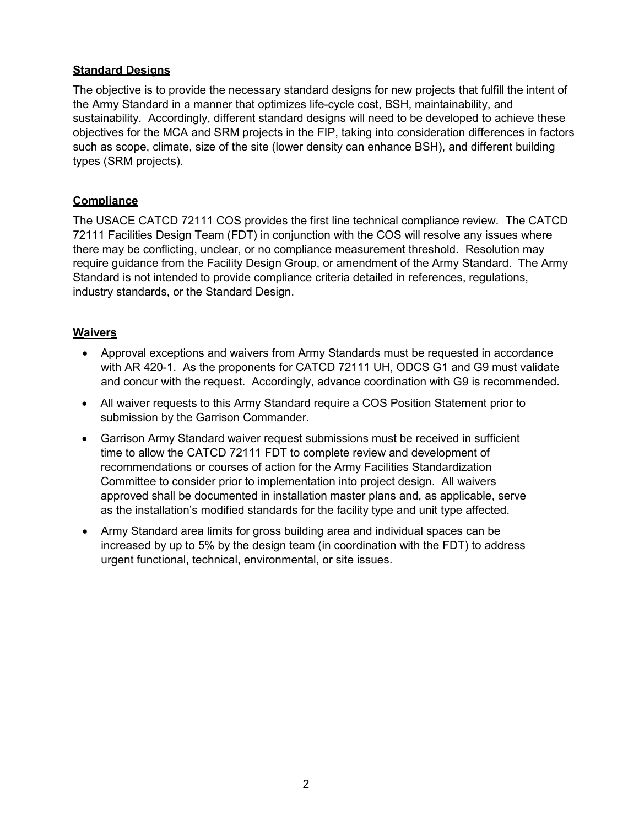#### **Standard Designs**

The objective is to provide the necessary standard designs for new projects that fulfill the intent of the Army Standard in a manner that optimizes life-cycle cost, BSH, maintainability, and sustainability. Accordingly, different standard designs will need to be developed to achieve these objectives for the MCA and SRM projects in the FIP, taking into consideration differences in factors such as scope, climate, size of the site (lower density can enhance BSH), and different building types (SRM projects).

#### **Compliance**

The USACE CATCD 72111 COS provides the first line technical compliance review. The CATCD 72111 Facilities Design Team (FDT) in conjunction with the COS will resolve any issues where there may be conflicting, unclear, or no compliance measurement threshold. Resolution may require guidance from the Facility Design Group, or amendment of the Army Standard. The Army Standard is not intended to provide compliance criteria detailed in references, regulations, industry standards, or the Standard Design.

#### **Waivers**

- Approval exceptions and waivers from Army Standards must be requested in accordance with AR 420-1. As the proponents for CATCD 72111 UH, ODCS G1 and G9 must validate and concur with the request. Accordingly, advance coordination with G9 is recommended.
- All waiver requests to this Army Standard require a COS Position Statement prior to submission by the Garrison Commander.
- Garrison Army Standard waiver request submissions must be received in sufficient time to allow the CATCD 72111 FDT to complete review and development of recommendations or courses of action for the Army Facilities Standardization Committee to consider prior to implementation into project design. All waivers approved shall be documented in installation master plans and, as applicable, serve as the installation's modified standards for the facility type and unit type affected.
- Army Standard area limits for gross building area and individual spaces can be increased by up to 5% by the design team (in coordination with the FDT) to address urgent functional, technical, environmental, or site issues.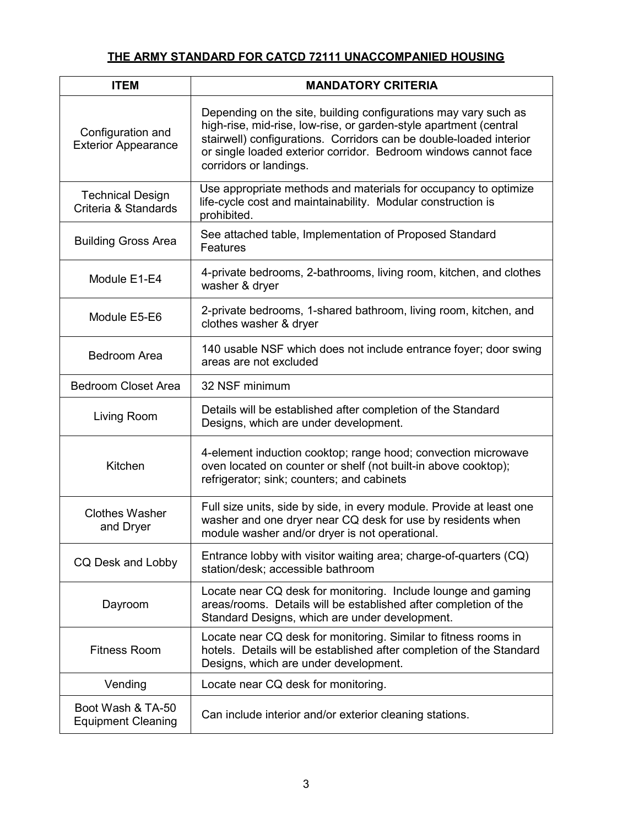# **THE ARMY STANDARD FOR CATCD 72111 UNACCOMPANIED HOUSING**

| <b>ITEM</b>                                     | <b>MANDATORY CRITERIA</b>                                                                                                                                                                                                                                                                               |  |  |  |  |  |  |  |
|-------------------------------------------------|---------------------------------------------------------------------------------------------------------------------------------------------------------------------------------------------------------------------------------------------------------------------------------------------------------|--|--|--|--|--|--|--|
| Configuration and<br><b>Exterior Appearance</b> | Depending on the site, building configurations may vary such as<br>high-rise, mid-rise, low-rise, or garden-style apartment (central<br>stairwell) configurations. Corridors can be double-loaded interior<br>or single loaded exterior corridor. Bedroom windows cannot face<br>corridors or landings. |  |  |  |  |  |  |  |
| <b>Technical Design</b><br>Criteria & Standards | Use appropriate methods and materials for occupancy to optimize<br>life-cycle cost and maintainability. Modular construction is<br>prohibited.                                                                                                                                                          |  |  |  |  |  |  |  |
| <b>Building Gross Area</b>                      | See attached table, Implementation of Proposed Standard<br>Features                                                                                                                                                                                                                                     |  |  |  |  |  |  |  |
| Module E1-E4                                    | 4-private bedrooms, 2-bathrooms, living room, kitchen, and clothes<br>washer & dryer                                                                                                                                                                                                                    |  |  |  |  |  |  |  |
| Module E5-E6                                    | 2-private bedrooms, 1-shared bathroom, living room, kitchen, and<br>clothes washer & dryer                                                                                                                                                                                                              |  |  |  |  |  |  |  |
| <b>Bedroom Area</b>                             | 140 usable NSF which does not include entrance foyer; door swing<br>areas are not excluded                                                                                                                                                                                                              |  |  |  |  |  |  |  |
| <b>Bedroom Closet Area</b>                      | 32 NSF minimum                                                                                                                                                                                                                                                                                          |  |  |  |  |  |  |  |
| Living Room                                     | Details will be established after completion of the Standard<br>Designs, which are under development.                                                                                                                                                                                                   |  |  |  |  |  |  |  |
| Kitchen                                         | 4-element induction cooktop; range hood; convection microwave<br>oven located on counter or shelf (not built-in above cooktop);<br>refrigerator; sink; counters; and cabinets                                                                                                                           |  |  |  |  |  |  |  |
| <b>Clothes Washer</b><br>and Dryer              | Full size units, side by side, in every module. Provide at least one<br>washer and one dryer near CQ desk for use by residents when<br>module washer and/or dryer is not operational.                                                                                                                   |  |  |  |  |  |  |  |
| CQ Desk and Lobby                               | Entrance lobby with visitor waiting area; charge-of-quarters (CQ)<br>station/desk; accessible bathroom                                                                                                                                                                                                  |  |  |  |  |  |  |  |
| Dayroom                                         | Locate near CQ desk for monitoring. Include lounge and gaming<br>areas/rooms. Details will be established after completion of the<br>Standard Designs, which are under development.                                                                                                                     |  |  |  |  |  |  |  |
| <b>Fitness Room</b>                             | Locate near CQ desk for monitoring. Similar to fitness rooms in<br>hotels. Details will be established after completion of the Standard<br>Designs, which are under development.                                                                                                                        |  |  |  |  |  |  |  |
| Vending                                         | Locate near CQ desk for monitoring.                                                                                                                                                                                                                                                                     |  |  |  |  |  |  |  |
| Boot Wash & TA-50<br><b>Equipment Cleaning</b>  | Can include interior and/or exterior cleaning stations.                                                                                                                                                                                                                                                 |  |  |  |  |  |  |  |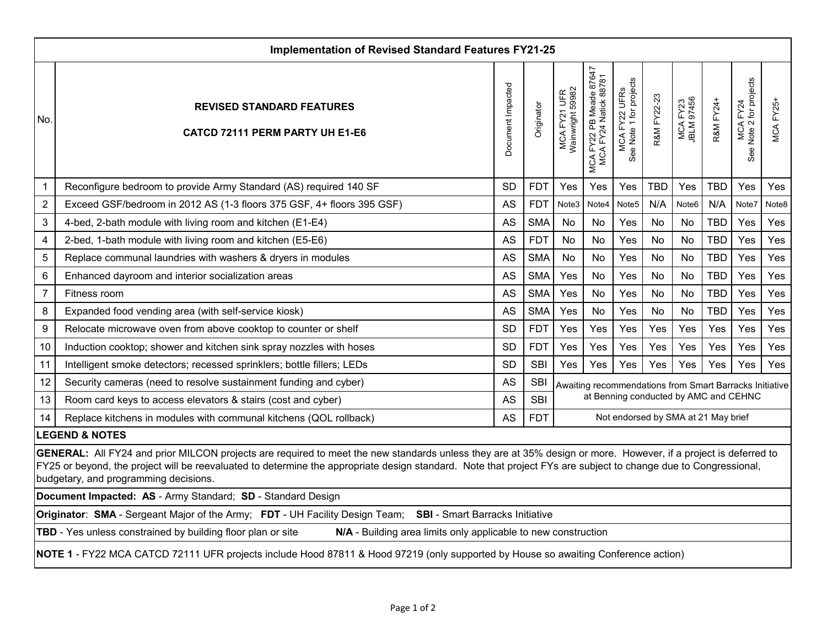| <b>Implementation of Revised Standard Features FY21-25</b>                                                                                                                                                                                                                                                                                                                 |                                                                        |                   |            |                                                         |                                                  |                                          |             |                        |            |                                                   |                  |  |
|----------------------------------------------------------------------------------------------------------------------------------------------------------------------------------------------------------------------------------------------------------------------------------------------------------------------------------------------------------------------------|------------------------------------------------------------------------|-------------------|------------|---------------------------------------------------------|--------------------------------------------------|------------------------------------------|-------------|------------------------|------------|---------------------------------------------------|------------------|--|
| No.                                                                                                                                                                                                                                                                                                                                                                        | <b>REVISED STANDARD FEATURES</b><br>CATCD 72111 PERM PARTY UH E1-E6    | Document Impacted | Originator | MCA FY21 UFR<br>Wainwright 59982                        | MCA FY22 PB Meade 87647<br>MCA FY24 Natick 88781 | See Note 1 for projects<br>MCA FY22 UFRS | R&M FY22-23 | MCA FY23<br>JBLM 97456 | R&M FY24+  | for projects<br>MCA FY24<br>Note 2 for pro<br>See | <b>MCA FY25+</b> |  |
| $\mathbf 1$                                                                                                                                                                                                                                                                                                                                                                | Reconfigure bedroom to provide Army Standard (AS) required 140 SF      | <b>SD</b>         | <b>FDT</b> | Yes                                                     | Yes                                              | Yes                                      | <b>TBD</b>  | Yes                    | <b>TBD</b> | Yes                                               | Yes              |  |
| $\overline{2}$                                                                                                                                                                                                                                                                                                                                                             | Exceed GSF/bedroom in 2012 AS (1-3 floors 375 GSF, 4+ floors 395 GSF)  | AS                | <b>FDT</b> | Note3                                                   | Note4                                            | Note <sub>5</sub>                        | N/A         | Note6                  | N/A        | Note7                                             | Note8            |  |
| 3                                                                                                                                                                                                                                                                                                                                                                          | 4-bed, 2-bath module with living room and kitchen (E1-E4)              | <b>AS</b>         | <b>SMA</b> | <b>No</b>                                               | No                                               | Yes                                      | No          | No                     | <b>TBD</b> | Yes                                               | Yes              |  |
| $\overline{\mathbf{4}}$                                                                                                                                                                                                                                                                                                                                                    | 2-bed, 1-bath module with living room and kitchen (E5-E6)              | <b>AS</b>         | <b>FDT</b> | No                                                      | No                                               | Yes                                      | No          | No                     | <b>TBD</b> | Yes                                               | Yes              |  |
| 5                                                                                                                                                                                                                                                                                                                                                                          | Replace communal laundries with washers & dryers in modules            | AS                | <b>SMA</b> | <b>No</b>                                               | No                                               | Yes                                      | No.         | No                     | <b>TBD</b> | Yes                                               | Yes              |  |
| $\,6$                                                                                                                                                                                                                                                                                                                                                                      | Enhanced dayroom and interior socialization areas                      | AS                | <b>SMA</b> | Yes                                                     | No                                               | Yes                                      | No          | No                     | <b>TBD</b> | Yes                                               | Yes              |  |
| $\overline{7}$                                                                                                                                                                                                                                                                                                                                                             | Fitness room                                                           | AS                | <b>SMA</b> | Yes                                                     | <b>No</b>                                        | Yes                                      | No          | No                     | <b>TBD</b> | Yes                                               | Yes              |  |
| 8                                                                                                                                                                                                                                                                                                                                                                          | Expanded food vending area (with self-service kiosk)                   | <b>AS</b>         | <b>SMA</b> | Yes                                                     | No                                               | Yes                                      | No          | No                     | <b>TBD</b> | Yes                                               | Yes              |  |
| $\boldsymbol{9}$                                                                                                                                                                                                                                                                                                                                                           | Relocate microwave oven from above cooktop to counter or shelf         | <b>SD</b>         | <b>FDT</b> | Yes                                                     | Yes                                              | Yes                                      | Yes         | Yes                    | Yes        | Yes                                               | Yes              |  |
| 10                                                                                                                                                                                                                                                                                                                                                                         | Induction cooktop; shower and kitchen sink spray nozzles with hoses    | <b>SD</b>         | <b>FDT</b> | Yes                                                     | Yes                                              | Yes                                      | Yes         | Yes                    | Yes        | Yes                                               | Yes              |  |
| 11                                                                                                                                                                                                                                                                                                                                                                         | Intelligent smoke detectors; recessed sprinklers; bottle fillers; LEDs | <b>SD</b>         | <b>SBI</b> | Yes                                                     | Yes                                              | Yes                                      | Yes         | Yes                    | Yes        | Yes                                               | Yes              |  |
| 12                                                                                                                                                                                                                                                                                                                                                                         | Security cameras (need to resolve sustainment funding and cyber)       | <b>AS</b>         | <b>SBI</b> | Awaiting recommendations from Smart Barracks Initiative |                                                  |                                          |             |                        |            |                                                   |                  |  |
| 13                                                                                                                                                                                                                                                                                                                                                                         | Room card keys to access elevators & stairs (cost and cyber)           | AS                | <b>SBI</b> | at Benning conducted by AMC and CEHNC                   |                                                  |                                          |             |                        |            |                                                   |                  |  |
| 14                                                                                                                                                                                                                                                                                                                                                                         | Replace kitchens in modules with communal kitchens (QOL rollback)      | <b>AS</b>         | <b>FDT</b> | Not endorsed by SMA at 21 May brief                     |                                                  |                                          |             |                        |            |                                                   |                  |  |
| <b>LEGEND &amp; NOTES</b>                                                                                                                                                                                                                                                                                                                                                  |                                                                        |                   |            |                                                         |                                                  |                                          |             |                        |            |                                                   |                  |  |
| GENERAL: All FY24 and prior MILCON projects are required to meet the new standards unless they are at 35% design or more. However, if a project is deferred to<br>FY25 or beyond, the project will be reevaluated to determine the appropriate design standard. Note that project FYs are subject to change due to Congressional,<br>budgetary, and programming decisions. |                                                                        |                   |            |                                                         |                                                  |                                          |             |                        |            |                                                   |                  |  |
|                                                                                                                                                                                                                                                                                                                                                                            | Document Impacted: AS - Army Standard; SD - Standard Design            |                   |            |                                                         |                                                  |                                          |             |                        |            |                                                   |                  |  |
| Originator: SMA - Sergeant Major of the Army; FDT - UH Facility Design Team;<br><b>SBI</b> - Smart Barracks Initiative                                                                                                                                                                                                                                                     |                                                                        |                   |            |                                                         |                                                  |                                          |             |                        |            |                                                   |                  |  |
| TBD - Yes unless constrained by building floor plan or site<br>N/A - Building area limits only applicable to new construction                                                                                                                                                                                                                                              |                                                                        |                   |            |                                                         |                                                  |                                          |             |                        |            |                                                   |                  |  |
| NOTE 1 - FY22 MCA CATCD 72111 UFR projects include Hood 87811 & Hood 97219 (only supported by House so awaiting Conference action)                                                                                                                                                                                                                                         |                                                                        |                   |            |                                                         |                                                  |                                          |             |                        |            |                                                   |                  |  |